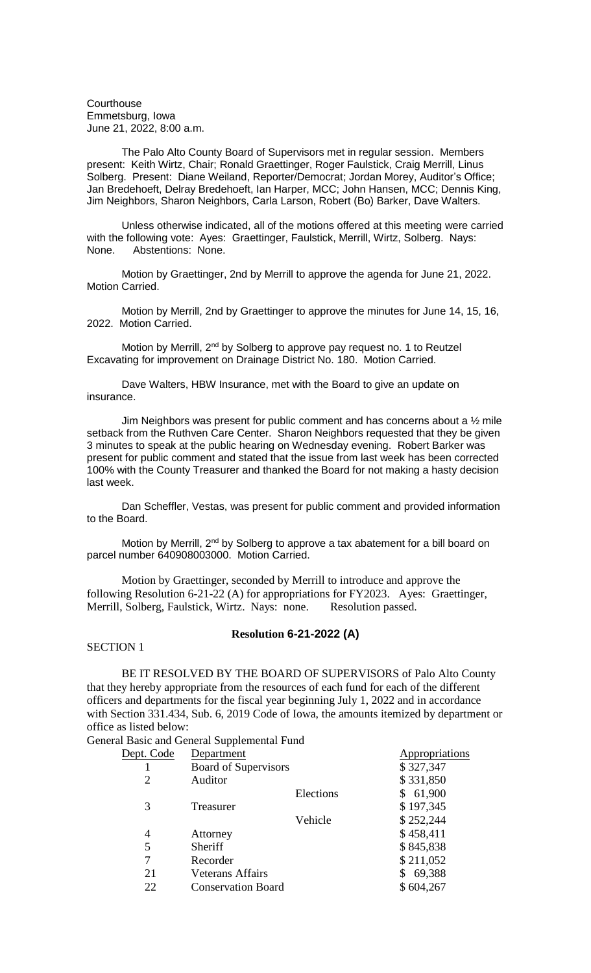**Courthouse** Emmetsburg, Iowa June 21, 2022, 8:00 a.m.

The Palo Alto County Board of Supervisors met in regular session. Members present: Keith Wirtz, Chair; Ronald Graettinger, Roger Faulstick, Craig Merrill, Linus Solberg. Present: Diane Weiland, Reporter/Democrat; Jordan Morey, Auditor's Office; Jan Bredehoeft, Delray Bredehoeft, Ian Harper, MCC; John Hansen, MCC; Dennis King, Jim Neighbors, Sharon Neighbors, Carla Larson, Robert (Bo) Barker, Dave Walters.

Unless otherwise indicated, all of the motions offered at this meeting were carried with the following vote: Ayes: Graettinger, Faulstick, Merrill, Wirtz, Solberg. Nays: None. Abstentions: None.

Motion by Graettinger, 2nd by Merrill to approve the agenda for June 21, 2022. Motion Carried.

Motion by Merrill, 2nd by Graettinger to approve the minutes for June 14, 15, 16, 2022. Motion Carried.

Motion by Merrill, 2<sup>nd</sup> by Solberg to approve pay request no. 1 to Reutzel Excavating for improvement on Drainage District No. 180. Motion Carried.

Dave Walters, HBW Insurance, met with the Board to give an update on insurance.

Jim Neighbors was present for public comment and has concerns about a ½ mile setback from the Ruthven Care Center. Sharon Neighbors requested that they be given 3 minutes to speak at the public hearing on Wednesday evening. Robert Barker was present for public comment and stated that the issue from last week has been corrected 100% with the County Treasurer and thanked the Board for not making a hasty decision last week.

Dan Scheffler, Vestas, was present for public comment and provided information to the Board.

Motion by Merrill, 2<sup>nd</sup> by Solberg to approve a tax abatement for a bill board on parcel number 640908003000. Motion Carried.

Motion by Graettinger, seconded by Merrill to introduce and approve the following Resolution 6-21-22 (A) for appropriations for FY2023. Ayes: Graettinger, Merrill, Solberg, Faulstick, Wirtz. Nays: none. Resolution passed.

#### **Resolution 6-21-2022 (A)**

SECTION 1

BE IT RESOLVED BY THE BOARD OF SUPERVISORS of Palo Alto County that they hereby appropriate from the resources of each fund for each of the different officers and departments for the fiscal year beginning July 1, 2022 and in accordance with Section 331.434, Sub. 6, 2019 Code of Iowa, the amounts itemized by department or office as listed below:

General Basic and General Supplemental Fund

| Dept. Code | Department                  |           | Appropriations |
|------------|-----------------------------|-----------|----------------|
|            | <b>Board of Supervisors</b> |           | \$327,347      |
| 2          | Auditor                     |           | \$331,850      |
|            |                             | Elections | 61,900         |
| 3          | Treasurer                   |           | \$197,345      |
|            |                             | Vehicle   | \$252,244      |
| 4          | Attorney                    |           | \$458,411      |
| 5          | Sheriff                     |           | \$845,838      |
|            | Recorder                    |           | \$211,052      |
| 21         | <b>Veterans Affairs</b>     |           | 69,388         |
| 22         | <b>Conservation Board</b>   |           | \$604,267      |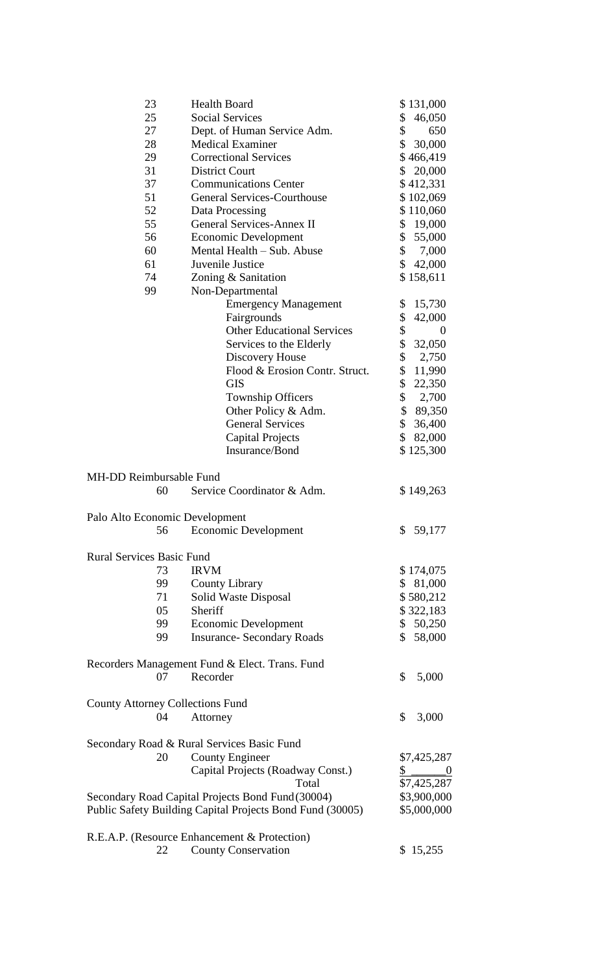| 23                                      |                                   | <b>Health Board</b>                                       |                | \$131,000        |
|-----------------------------------------|-----------------------------------|-----------------------------------------------------------|----------------|------------------|
| 25                                      |                                   | <b>Social Services</b>                                    | \$             | 46,050           |
|                                         | 27<br>Dept. of Human Service Adm. |                                                           |                | 650              |
|                                         | 28<br><b>Medical Examiner</b>     |                                                           |                | 30,000           |
| 29                                      |                                   | <b>Correctional Services</b>                              |                | \$466,419        |
|                                         | <b>District Court</b><br>31       |                                                           |                | 20,000           |
| 37                                      |                                   | <b>Communications Center</b>                              |                | \$412,331        |
| 51                                      |                                   | <b>General Services-Courthouse</b>                        |                | \$102,069        |
| 52                                      |                                   | Data Processing                                           |                | \$110,060        |
| 55                                      |                                   | <b>General Services-Annex II</b>                          |                | \$19,000         |
| 56                                      |                                   | <b>Economic Development</b>                               | \$             | 55,000           |
| 60                                      |                                   | Mental Health – Sub. Abuse                                | \$             | 7,000            |
| 61                                      |                                   | Juvenile Justice                                          | \$             | 42,000           |
| 74                                      |                                   | Zoning & Sanitation                                       |                | \$158,611        |
| 99                                      |                                   | Non-Departmental                                          |                |                  |
|                                         |                                   |                                                           | \$             | 15,730           |
|                                         |                                   | <b>Emergency Management</b><br>Fairgrounds                | \$             | 42,000           |
|                                         |                                   | <b>Other Educational Services</b>                         | \$             | $\boldsymbol{0}$ |
|                                         |                                   |                                                           | \$             |                  |
|                                         |                                   | Services to the Elderly                                   |                | 32,050           |
|                                         |                                   | Discovery House                                           | \$             | 2,750            |
|                                         |                                   | Flood & Erosion Contr. Struct.                            | \$             | 11,990           |
|                                         |                                   | <b>GIS</b>                                                | \$             | 22,350           |
|                                         |                                   | <b>Township Officers</b>                                  | \$             | 2,700            |
|                                         |                                   | Other Policy & Adm.                                       |                | \$89,350         |
|                                         |                                   | <b>General Services</b>                                   | $\frac{1}{2}$  | 36,400           |
|                                         |                                   | <b>Capital Projects</b>                                   | \$             | 82,000           |
|                                         |                                   | Insurance/Bond                                            |                | \$125,300        |
|                                         |                                   |                                                           |                |                  |
| <b>MH-DD Reimbursable Fund</b>          |                                   |                                                           |                |                  |
|                                         | 60                                | Service Coordinator & Adm.                                |                | \$149,263        |
|                                         |                                   |                                                           |                |                  |
| Palo Alto Economic Development          |                                   |                                                           |                |                  |
|                                         |                                   | 56 Economic Development                                   |                | \$59,177         |
|                                         |                                   |                                                           |                |                  |
| <b>Rural Services Basic Fund</b>        |                                   |                                                           |                |                  |
|                                         | 73                                | <b>IRVM</b>                                               |                | \$174,075        |
|                                         | 99                                | <b>County Library</b>                                     |                | \$81,000         |
|                                         | 71                                | Solid Waste Disposal                                      |                | \$580,212        |
|                                         | 05                                | Sheriff                                                   |                | \$322,183        |
|                                         | 99                                | <b>Economic Development</b>                               |                | \$50,250         |
|                                         | 99                                | <b>Insurance-Secondary Roads</b>                          | $\mathbb{S}^-$ | 58,000           |
|                                         |                                   |                                                           |                |                  |
|                                         |                                   | Recorders Management Fund & Elect. Trans. Fund            |                |                  |
|                                         | 07                                | Recorder                                                  | \$             | 5,000            |
|                                         |                                   |                                                           |                |                  |
| <b>County Attorney Collections Fund</b> |                                   |                                                           |                |                  |
|                                         | 04                                | Attorney                                                  | \$             | 3,000            |
|                                         |                                   |                                                           |                |                  |
|                                         |                                   | Secondary Road & Rural Services Basic Fund                |                |                  |
|                                         | 20                                | <b>County Engineer</b>                                    |                | \$7,425,287      |
|                                         |                                   | Capital Projects (Roadway Const.)                         | \$             | $\sim$ 0         |
|                                         |                                   | Total                                                     |                | \$7,425,287      |
|                                         |                                   | Secondary Road Capital Projects Bond Fund (30004)         |                | \$3,900,000      |
|                                         |                                   |                                                           |                |                  |
|                                         |                                   | Public Safety Building Capital Projects Bond Fund (30005) |                | \$5,000,000      |
|                                         |                                   |                                                           |                |                  |
|                                         |                                   | R.E.A.P. (Resource Enhancement & Protection)              |                |                  |
|                                         | 22                                | <b>County Conservation</b>                                |                | \$15,255         |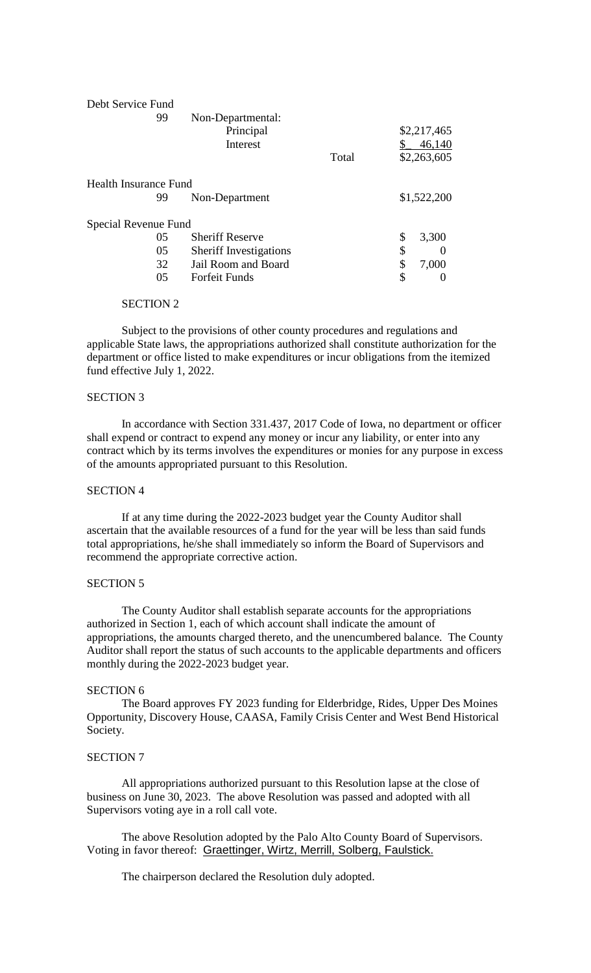| 99<br>Non-Departmental:                   |        |
|-------------------------------------------|--------|
|                                           |        |
| Principal<br>\$2,217,465                  |        |
| Interest                                  | 46,140 |
| \$2,263,605<br>Total                      |        |
| Health Insurance Fund                     |        |
| \$1,522,200<br>99<br>Non-Department       |        |
| Special Revenue Fund                      |        |
| <b>Sheriff Reserve</b><br>\$<br>05        | 3,300  |
| \$<br>05<br><b>Sheriff Investigations</b> |        |
| \$<br>Jail Room and Board<br>32           | 7,000  |
| \$<br>05<br><b>Forfeit Funds</b>          |        |

#### SECTION 2

Subject to the provisions of other county procedures and regulations and applicable State laws, the appropriations authorized shall constitute authorization for the department or office listed to make expenditures or incur obligations from the itemized fund effective July 1, 2022.

## SECTION 3

In accordance with Section 331.437, 2017 Code of Iowa, no department or officer shall expend or contract to expend any money or incur any liability, or enter into any contract which by its terms involves the expenditures or monies for any purpose in excess of the amounts appropriated pursuant to this Resolution.

## SECTION 4

If at any time during the 2022-2023 budget year the County Auditor shall ascertain that the available resources of a fund for the year will be less than said funds total appropriations, he/she shall immediately so inform the Board of Supervisors and recommend the appropriate corrective action.

#### SECTION 5

The County Auditor shall establish separate accounts for the appropriations authorized in Section 1, each of which account shall indicate the amount of appropriations, the amounts charged thereto, and the unencumbered balance. The County Auditor shall report the status of such accounts to the applicable departments and officers monthly during the 2022-2023 budget year.

#### SECTION 6

The Board approves FY 2023 funding for Elderbridge, Rides, Upper Des Moines Opportunity, Discovery House, CAASA, Family Crisis Center and West Bend Historical Society.

## SECTION 7

All appropriations authorized pursuant to this Resolution lapse at the close of business on June 30, 2023. The above Resolution was passed and adopted with all Supervisors voting aye in a roll call vote.

The above Resolution adopted by the Palo Alto County Board of Supervisors. Voting in favor thereof: Graettinger, Wirtz, Merrill, Solberg, Faulstick.

The chairperson declared the Resolution duly adopted.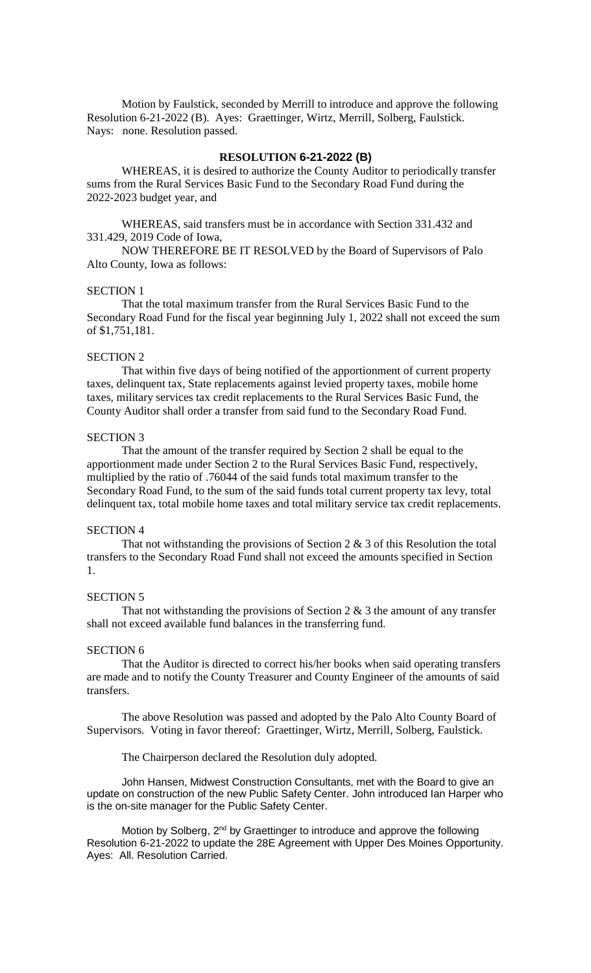Motion by Faulstick, seconded by Merrill to introduce and approve the following Resolution 6-21-2022 (B). Ayes: Graettinger, Wirtz, Merrill, Solberg, Faulstick. Nays: none. Resolution passed.

# **RESOLUTION 6-21-2022 (B)**

WHEREAS, it is desired to authorize the County Auditor to periodically transfer sums from the Rural Services Basic Fund to the Secondary Road Fund during the 2022-2023 budget year, and

WHEREAS, said transfers must be in accordance with Section 331.432 and 331.429, 2019 Code of Iowa,

NOW THEREFORE BE IT RESOLVED by the Board of Supervisors of Palo Alto County, Iowa as follows:

#### SECTION 1

That the total maximum transfer from the Rural Services Basic Fund to the Secondary Road Fund for the fiscal year beginning July 1, 2022 shall not exceed the sum of \$1,751,181.

#### SECTION 2

That within five days of being notified of the apportionment of current property taxes, delinquent tax, State replacements against levied property taxes, mobile home taxes, military services tax credit replacements to the Rural Services Basic Fund, the County Auditor shall order a transfer from said fund to the Secondary Road Fund.

#### SECTION 3

That the amount of the transfer required by Section 2 shall be equal to the apportionment made under Section 2 to the Rural Services Basic Fund, respectively, multiplied by the ratio of .76044 of the said funds total maximum transfer to the Secondary Road Fund, to the sum of the said funds total current property tax levy, total delinquent tax, total mobile home taxes and total military service tax credit replacements.

# SECTION 4

That not withstanding the provisions of Section 2 & 3 of this Resolution the total transfers to the Secondary Road Fund shall not exceed the amounts specified in Section 1.

#### SECTION 5

That not withstanding the provisions of Section 2  $\&$  3 the amount of any transfer shall not exceed available fund balances in the transferring fund.

#### SECTION 6

That the Auditor is directed to correct his/her books when said operating transfers are made and to notify the County Treasurer and County Engineer of the amounts of said transfers.

The above Resolution was passed and adopted by the Palo Alto County Board of Supervisors. Voting in favor thereof: Graettinger, Wirtz, Merrill, Solberg, Faulstick.

The Chairperson declared the Resolution duly adopted.

John Hansen, Midwest Construction Consultants, met with the Board to give an update on construction of the new Public Safety Center. John introduced Ian Harper who is the on-site manager for the Public Safety Center.

Motion by Solberg, 2<sup>nd</sup> by Graettinger to introduce and approve the following Resolution 6-21-2022 to update the 28E Agreement with Upper Des Moines Opportunity. Ayes: All. Resolution Carried.